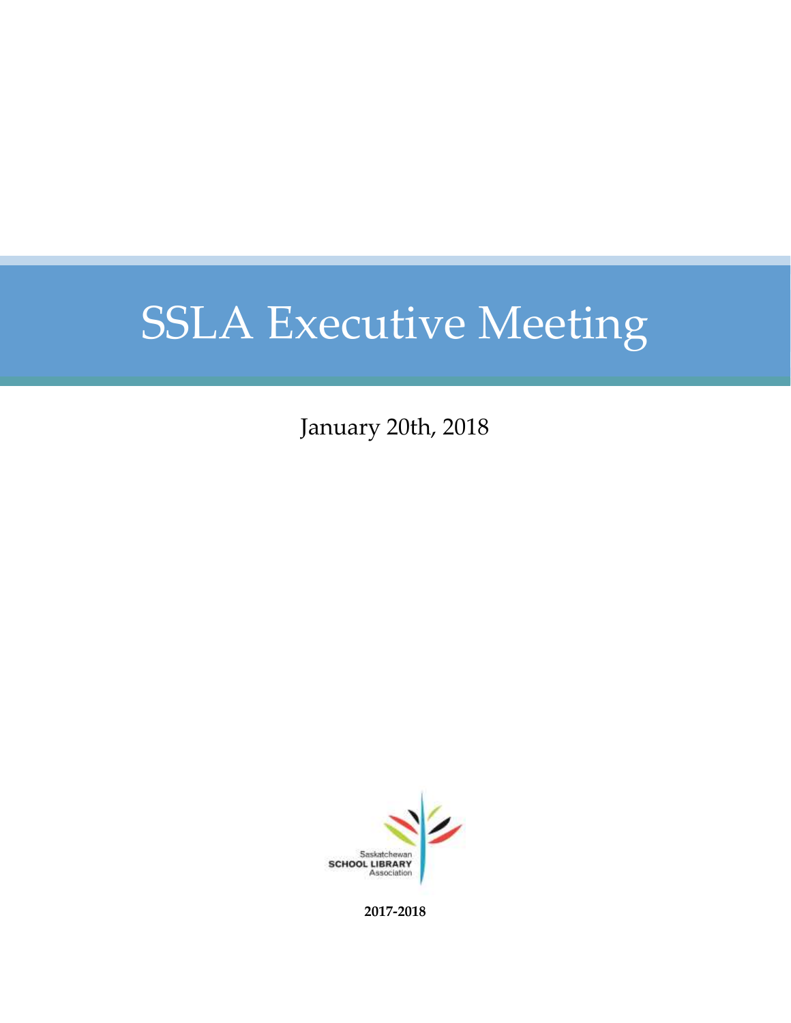January 20th, 2018



**2017-2018**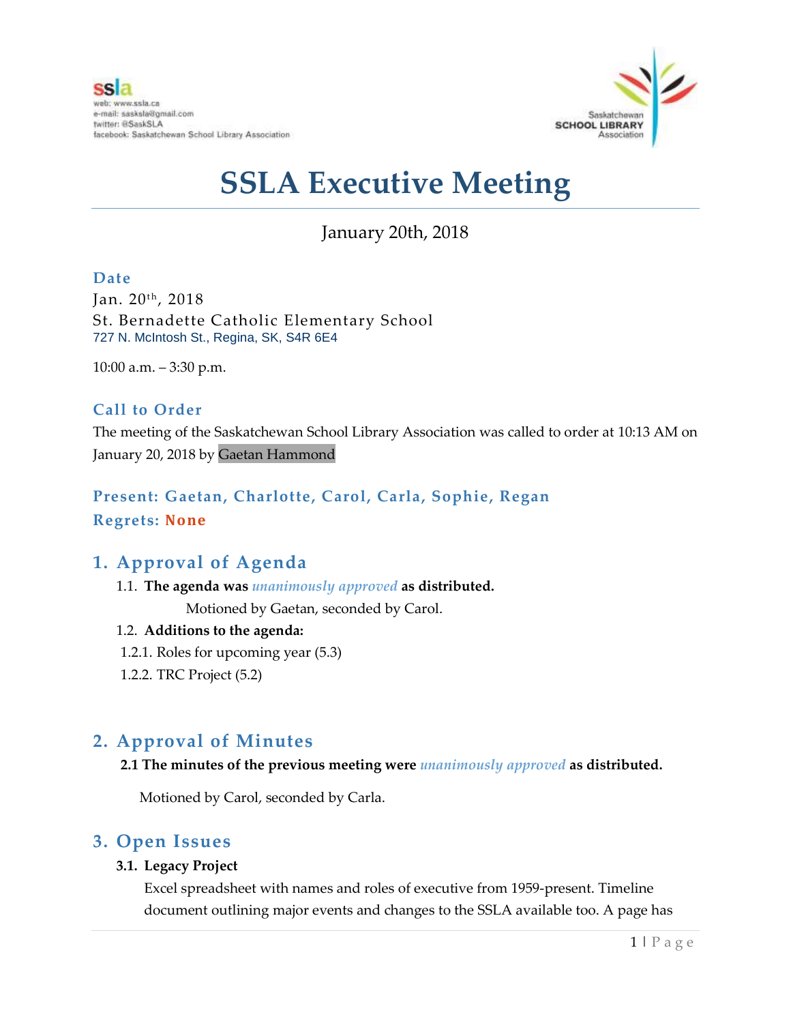

## January 20th, 2018

#### **Date**

Jan. 20<sup>th</sup>, 2018 St. Bernadette Catholic Elementary School 727 N. McIntosh St., Regina, SK, S4R 6E4

10:00 a.m. – 3:30 p.m.

#### **Call to Order**

The meeting of the Saskatchewan School Library Association was called to order at 10:13 AM on January 20, 2018 by Gaetan Hammond

#### **Present: Gaetan, Charlotte, Carol, Carla, Sophie, Regan Regrets: None**

#### **1. Approval of Agenda**

1.1. **The agenda was** *unanimously approved* **as distributed.**

Motioned by Gaetan, seconded by Carol.

#### 1.2. **Additions to the agenda:**

- 1.2.1. Roles for upcoming year (5.3)
- 1.2.2. TRC Project (5.2)

### **2. Approval of Minutes**

#### **2.1 The minutes of the previous meeting were** *unanimously approved* **as distributed.**

Motioned by Carol, seconded by Carla.

#### **3. Open Issues**

#### **3.1. Legacy Project**

Excel spreadsheet with names and roles of executive from 1959-present. Timeline document outlining major events and changes to the SSLA available too. A page has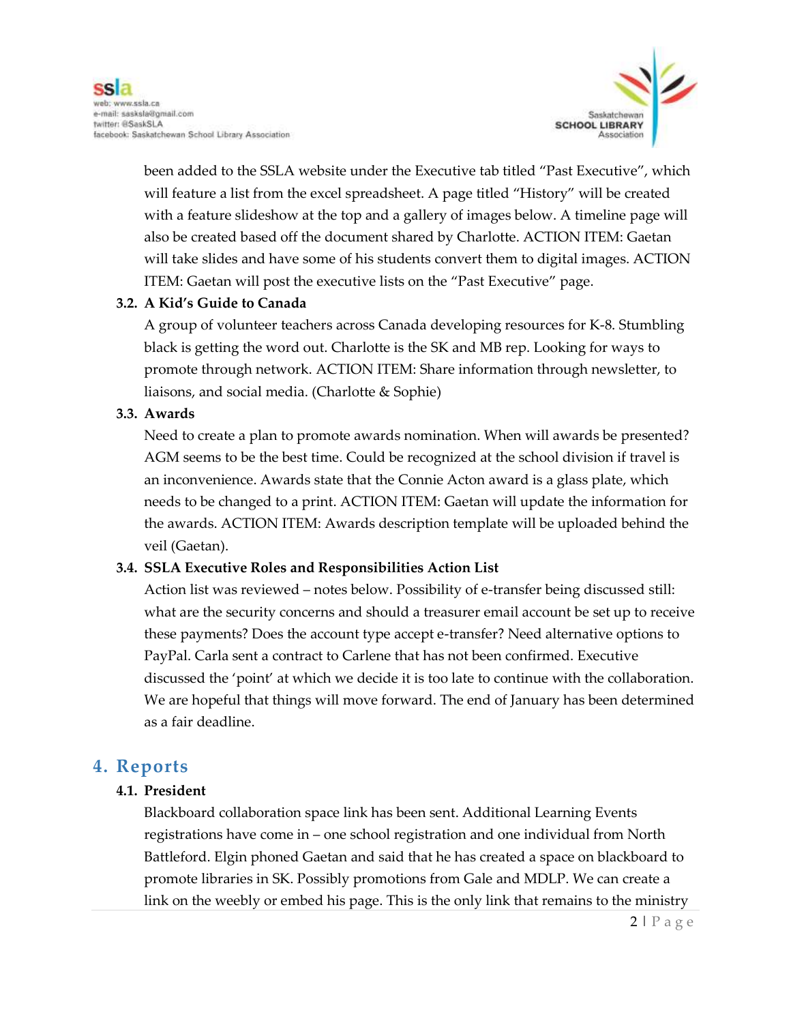

been added to the SSLA website under the Executive tab titled "Past Executive", which will feature a list from the excel spreadsheet. A page titled "History" will be created with a feature slideshow at the top and a gallery of images below. A timeline page will also be created based off the document shared by Charlotte. ACTION ITEM: Gaetan will take slides and have some of his students convert them to digital images. ACTION ITEM: Gaetan will post the executive lists on the "Past Executive" page.

#### **3.2. A Kid's Guide to Canada**

A group of volunteer teachers across Canada developing resources for K-8. Stumbling black is getting the word out. Charlotte is the SK and MB rep. Looking for ways to promote through network. ACTION ITEM: Share information through newsletter, to liaisons, and social media. (Charlotte & Sophie)

#### **3.3. Awards**

Need to create a plan to promote awards nomination. When will awards be presented? AGM seems to be the best time. Could be recognized at the school division if travel is an inconvenience. Awards state that the Connie Acton award is a glass plate, which needs to be changed to a print. ACTION ITEM: Gaetan will update the information for the awards. ACTION ITEM: Awards description template will be uploaded behind the veil (Gaetan).

#### **3.4. SSLA Executive Roles and Responsibilities Action List**

Action list was reviewed – notes below. Possibility of e-transfer being discussed still: what are the security concerns and should a treasurer email account be set up to receive these payments? Does the account type accept e-transfer? Need alternative options to PayPal. Carla sent a contract to Carlene that has not been confirmed. Executive discussed the 'point' at which we decide it is too late to continue with the collaboration. We are hopeful that things will move forward. The end of January has been determined as a fair deadline.

#### **4. Reports**

#### **4.1. President**

Blackboard collaboration space link has been sent. Additional Learning Events registrations have come in – one school registration and one individual from North Battleford. Elgin phoned Gaetan and said that he has created a space on blackboard to promote libraries in SK. Possibly promotions from Gale and MDLP. We can create a link on the weebly or embed his page. This is the only link that remains to the ministry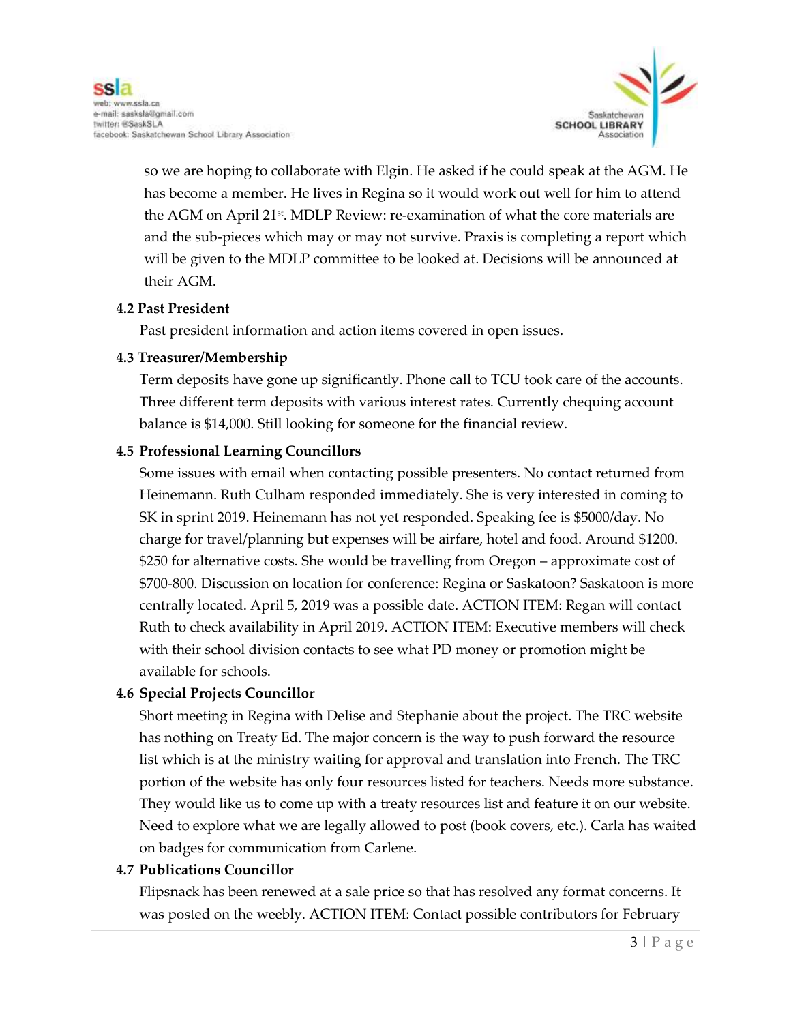

so we are hoping to collaborate with Elgin. He asked if he could speak at the AGM. He has become a member. He lives in Regina so it would work out well for him to attend the AGM on April 21st. MDLP Review: re-examination of what the core materials are and the sub-pieces which may or may not survive. Praxis is completing a report which will be given to the MDLP committee to be looked at. Decisions will be announced at their AGM.

#### **4.2 Past President**

Past president information and action items covered in open issues.

#### **4.3 Treasurer/Membership**

Term deposits have gone up significantly. Phone call to TCU took care of the accounts. Three different term deposits with various interest rates. Currently chequing account balance is \$14,000. Still looking for someone for the financial review.

#### **4.5 Professional Learning Councillors**

Some issues with email when contacting possible presenters. No contact returned from Heinemann. Ruth Culham responded immediately. She is very interested in coming to SK in sprint 2019. Heinemann has not yet responded. Speaking fee is \$5000/day. No charge for travel/planning but expenses will be airfare, hotel and food. Around \$1200. \$250 for alternative costs. She would be travelling from Oregon – approximate cost of \$700-800. Discussion on location for conference: Regina or Saskatoon? Saskatoon is more centrally located. April 5, 2019 was a possible date. ACTION ITEM: Regan will contact Ruth to check availability in April 2019. ACTION ITEM: Executive members will check with their school division contacts to see what PD money or promotion might be available for schools.

#### **4.6 Special Projects Councillor**

Short meeting in Regina with Delise and Stephanie about the project. The TRC website has nothing on Treaty Ed. The major concern is the way to push forward the resource list which is at the ministry waiting for approval and translation into French. The TRC portion of the website has only four resources listed for teachers. Needs more substance. They would like us to come up with a treaty resources list and feature it on our website. Need to explore what we are legally allowed to post (book covers, etc.). Carla has waited on badges for communication from Carlene.

#### **4.7 Publications Councillor**

Flipsnack has been renewed at a sale price so that has resolved any format concerns. It was posted on the weebly. ACTION ITEM: Contact possible contributors for February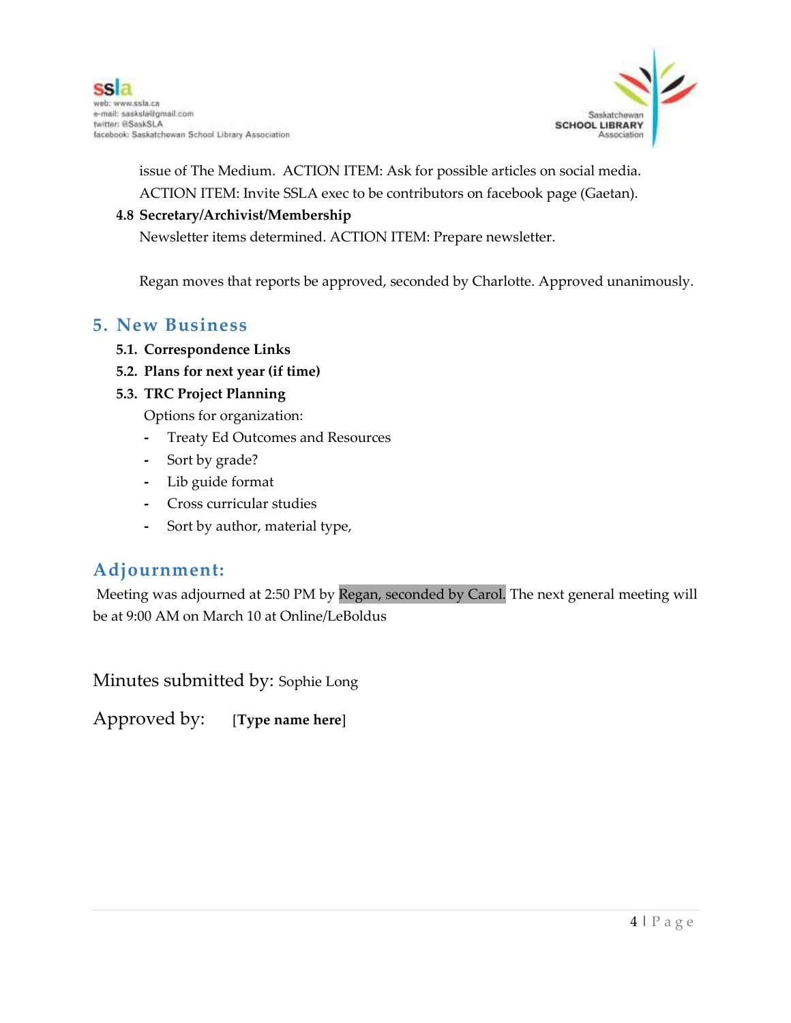

issue of The Medium. ACTION ITEM: Ask for possible articles on social media. ACTION ITEM: Invite SSLA exec to be contributors on facebook page (Gaetan).

#### **4.8 Secretary/Archivist/Membership**

Newsletter items determined. ACTION ITEM: Prepare newsletter.

Regan moves that reports be approved, seconded by Charlotte. Approved unanimously.

#### **5. New Business**

- **5.1. Correspondence Links**
- **5.2. Plans for next year (if time)**
- **5.3. TRC Project Planning**

Options for organization:

- **-** Treaty Ed Outcomes and Resources
- **-** Sort by grade?
- **-** Lib guide format
- **-** Cross curricular studies
- **-** Sort by author, material type,

### **Adjournment:**

Meeting was adjourned at 2:50 PM by Regan, seconded by Carol. The next general meeting will be at 9:00 AM on March 10 at Online/LeBoldus

Minutes submitted by: Sophie Long

Approved by: [**Type name here**]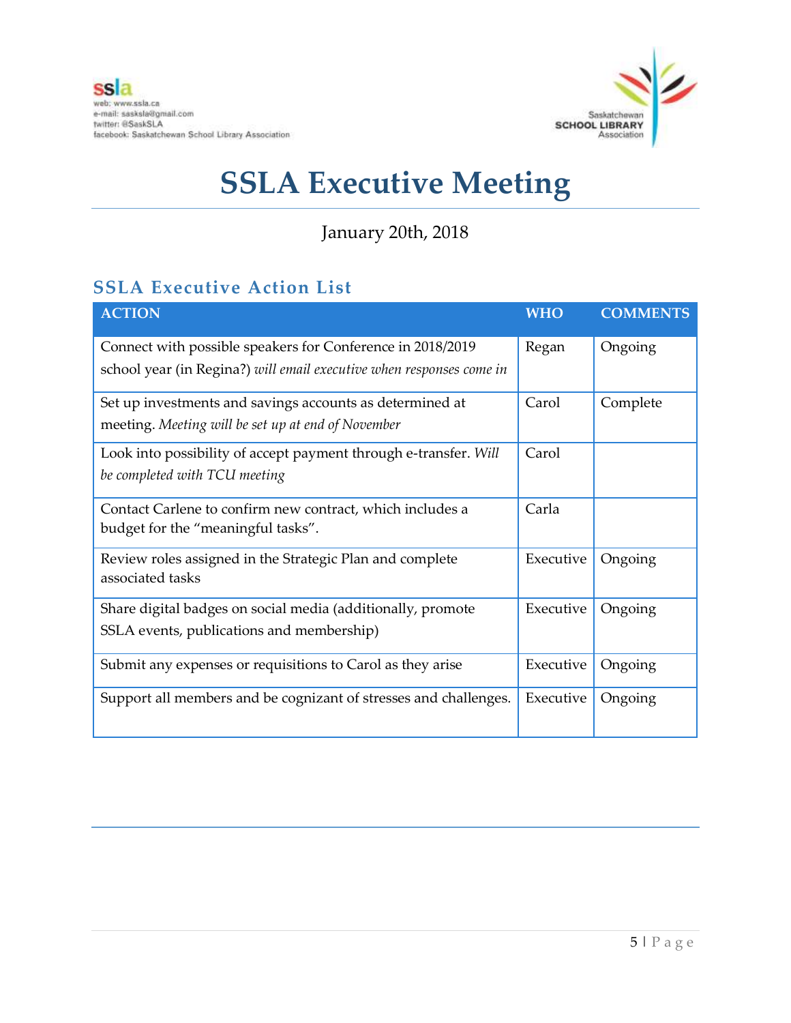

## January 20th, 2018

## **SSLA Executive Action List**

| <b>ACTION</b>                                                        | <b>WHO</b> | <b>COMMENTS</b> |
|----------------------------------------------------------------------|------------|-----------------|
| Connect with possible speakers for Conference in 2018/2019           | Regan      | Ongoing         |
| school year (in Regina?) will email executive when responses come in |            |                 |
| Set up investments and savings accounts as determined at             | Carol      | Complete        |
| meeting. Meeting will be set up at end of November                   |            |                 |
| Look into possibility of accept payment through e-transfer. Will     | Carol      |                 |
| be completed with TCU meeting                                        |            |                 |
| Contact Carlene to confirm new contract, which includes a            | Carla      |                 |
| budget for the "meaningful tasks".                                   |            |                 |
| Review roles assigned in the Strategic Plan and complete             | Executive  | Ongoing         |
| associated tasks                                                     |            |                 |
| Share digital badges on social media (additionally, promote          | Executive  | Ongoing         |
| SSLA events, publications and membership)                            |            |                 |
| Submit any expenses or requisitions to Carol as they arise           | Executive  | Ongoing         |
| Support all members and be cognizant of stresses and challenges.     | Executive  | Ongoing         |
|                                                                      |            |                 |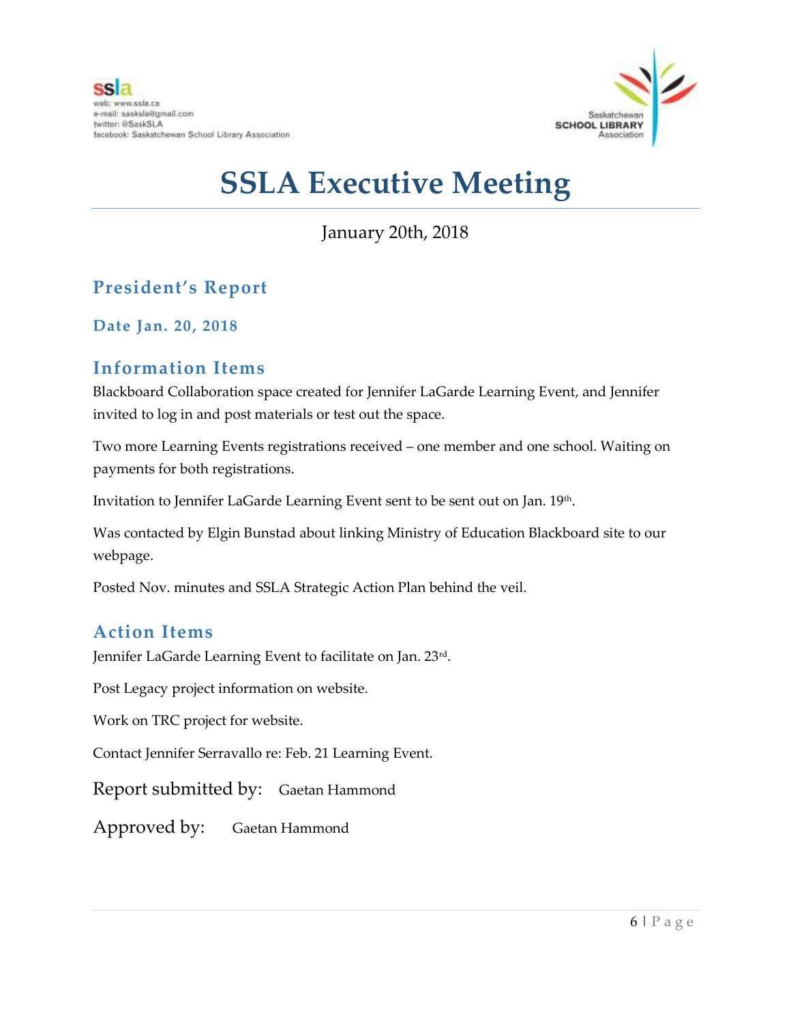

January 20th, 2018

## **President's Report**

**Date Jan. 20, 2018**

### **Information Items**

Blackboard Collaboration space created for Jennifer LaGarde Learning Event, and Jennifer invited to log in and post materials or test out the space.

Two more Learning Events registrations received – one member and one school. Waiting on payments for both registrations.

Invitation to Jennifer LaGarde Learning Event sent to be sent out on Jan. 19th.

Was contacted by Elgin Bunstad about linking Ministry of Education Blackboard site to our webpage.

Posted Nov. minutes and SSLA Strategic Action Plan behind the veil.

### **Action Items**

Jennifer LaGarde Learning Event to facilitate on Jan. 23rd .

Post Legacy project information on website.

Work on TRC project for website.

Contact Jennifer Serravallo re: Feb. 21 Learning Event.

Report submitted by: Gaetan Hammond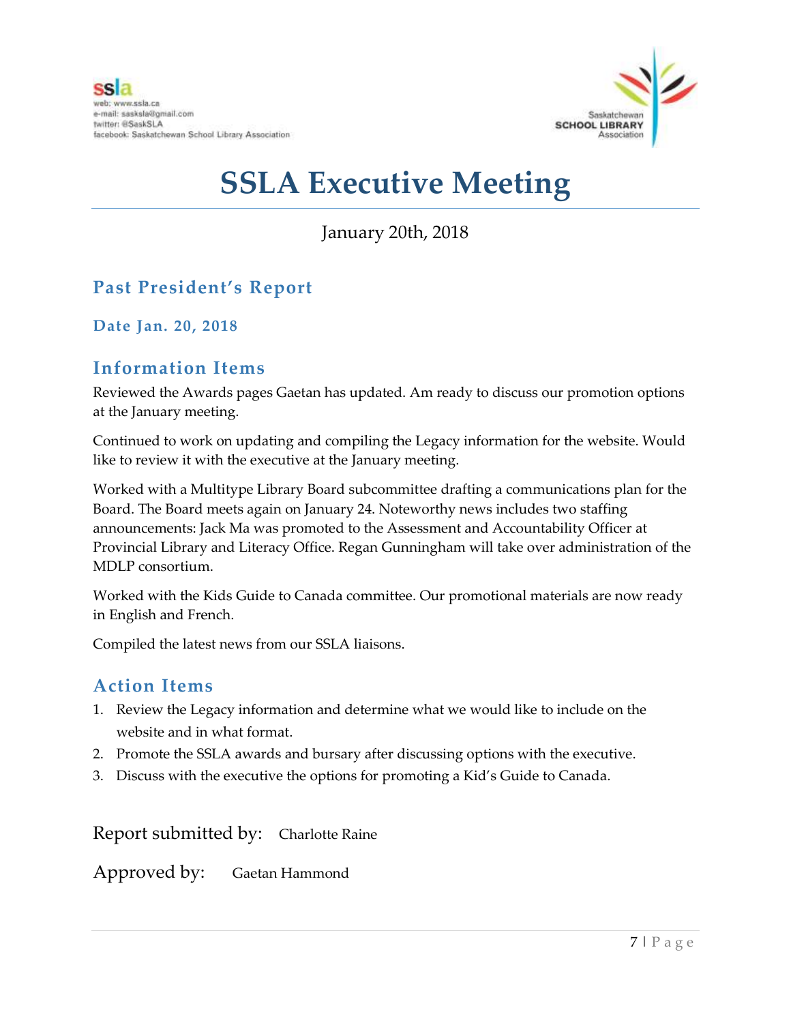

## January 20th, 2018

## **Past President's Report**

**Date Jan. 20, 2018**

#### **Information Items**

Reviewed the Awards pages Gaetan has updated. Am ready to discuss our promotion options at the January meeting.

Continued to work on updating and compiling the Legacy information for the website. Would like to review it with the executive at the January meeting.

Worked with a Multitype Library Board subcommittee drafting a communications plan for the Board. The Board meets again on January 24. Noteworthy news includes two staffing announcements: Jack Ma was promoted to the Assessment and Accountability Officer at Provincial Library and Literacy Office. Regan Gunningham will take over administration of the MDLP consortium.

Worked with the Kids Guide to Canada committee. Our promotional materials are now ready in English and French.

Compiled the latest news from our SSLA liaisons.

#### **Action Items**

- 1. Review the Legacy information and determine what we would like to include on the website and in what format.
- 2. Promote the SSLA awards and bursary after discussing options with the executive.
- 3. Discuss with the executive the options for promoting a Kid's Guide to Canada.

Report submitted by: Charlotte Raine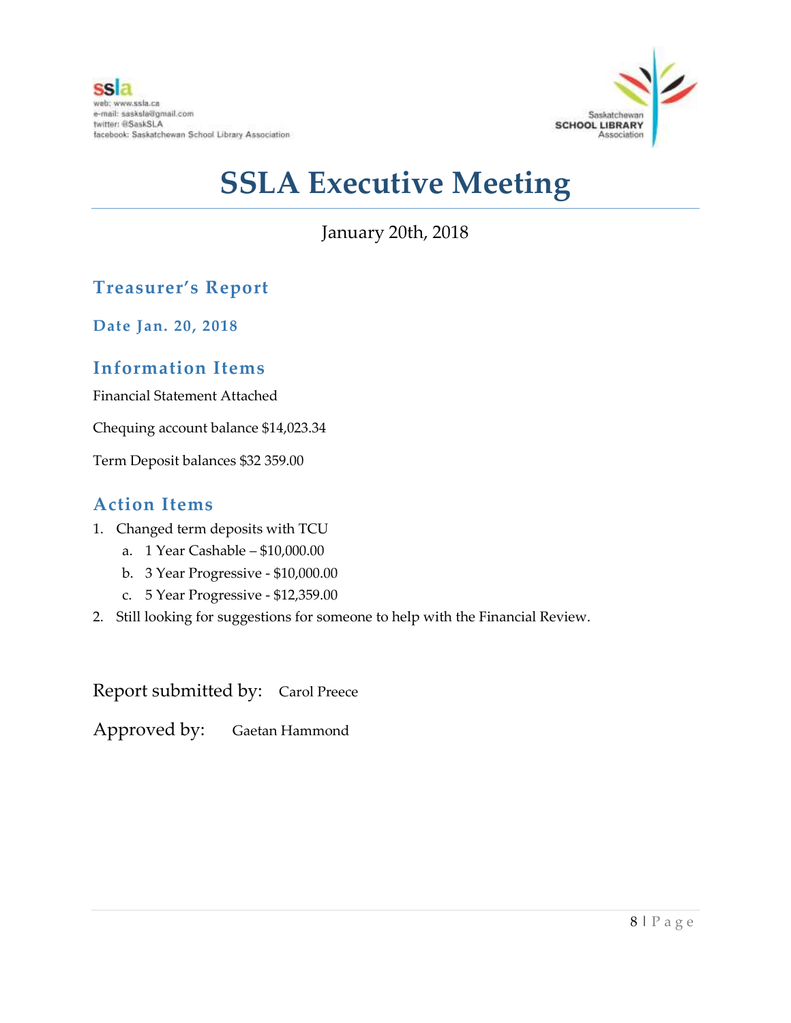

January 20th, 2018

## **Treasurer's Report**

**Date Jan. 20, 2018**

#### **Information Items**

Financial Statement Attached

Chequing account balance \$14,023.34

Term Deposit balances \$32 359.00

#### **Action Items**

- 1. Changed term deposits with TCU
	- a. 1 Year Cashable \$10,000.00
	- b. 3 Year Progressive \$10,000.00
	- c. 5 Year Progressive \$12,359.00
- 2. Still looking for suggestions for someone to help with the Financial Review.

Report submitted by: Carol Preece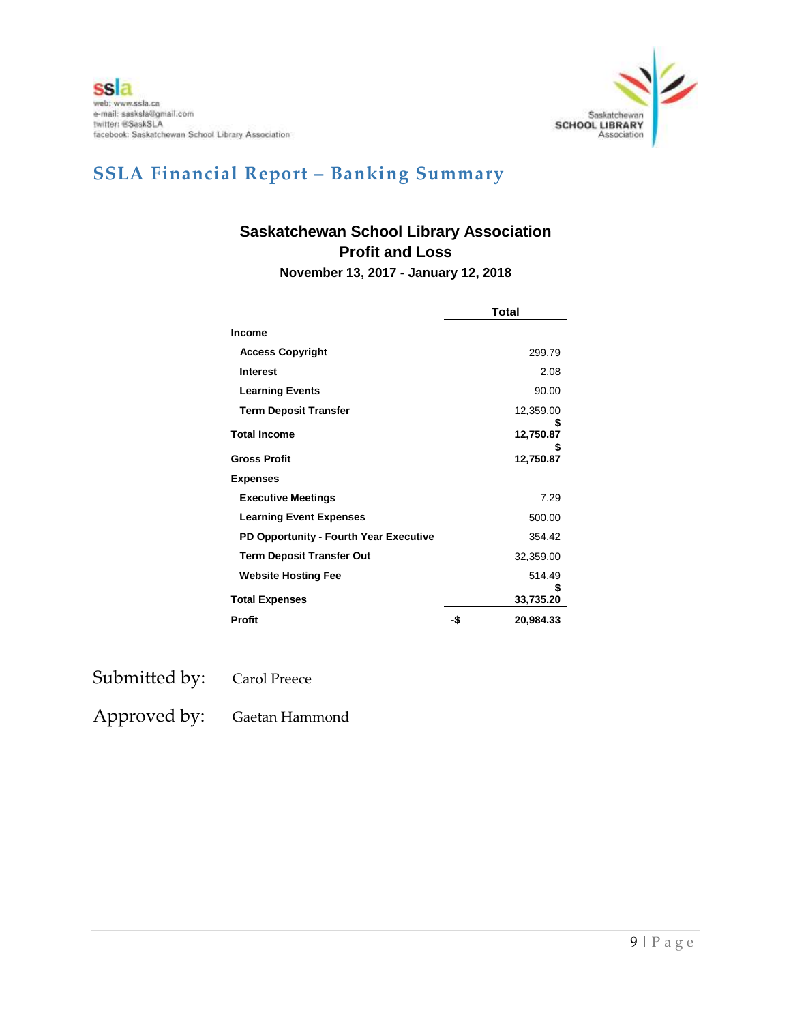

## **SSLA Financial Report – Banking Summary**

## **Saskatchewan School Library Association Profit and Loss**

**November 13, 2017 - January 12, 2018**

|                                        | Total |                 |
|----------------------------------------|-------|-----------------|
| <b>Income</b>                          |       |                 |
| <b>Access Copyright</b>                |       | 299.79          |
| <b>Interest</b>                        |       | 2.08            |
| <b>Learning Events</b>                 |       | 90.00           |
| <b>Term Deposit Transfer</b>           |       | 12,359.00       |
| <b>Total Income</b>                    |       | 12,750.87       |
| <b>Gross Profit</b>                    |       | \$<br>12,750.87 |
| <b>Expenses</b>                        |       |                 |
| <b>Executive Meetings</b>              |       | 7.29            |
| <b>Learning Event Expenses</b>         |       | 500.00          |
| PD Opportunity - Fourth Year Executive |       | 354.42          |
| <b>Term Deposit Transfer Out</b>       |       | 32,359.00       |
| <b>Website Hosting Fee</b>             |       | 514.49          |
| <b>Total Expenses</b>                  |       | 33,735.20       |
| Profit                                 | -\$   | 20.984.33       |

Submitted by: Carol Preece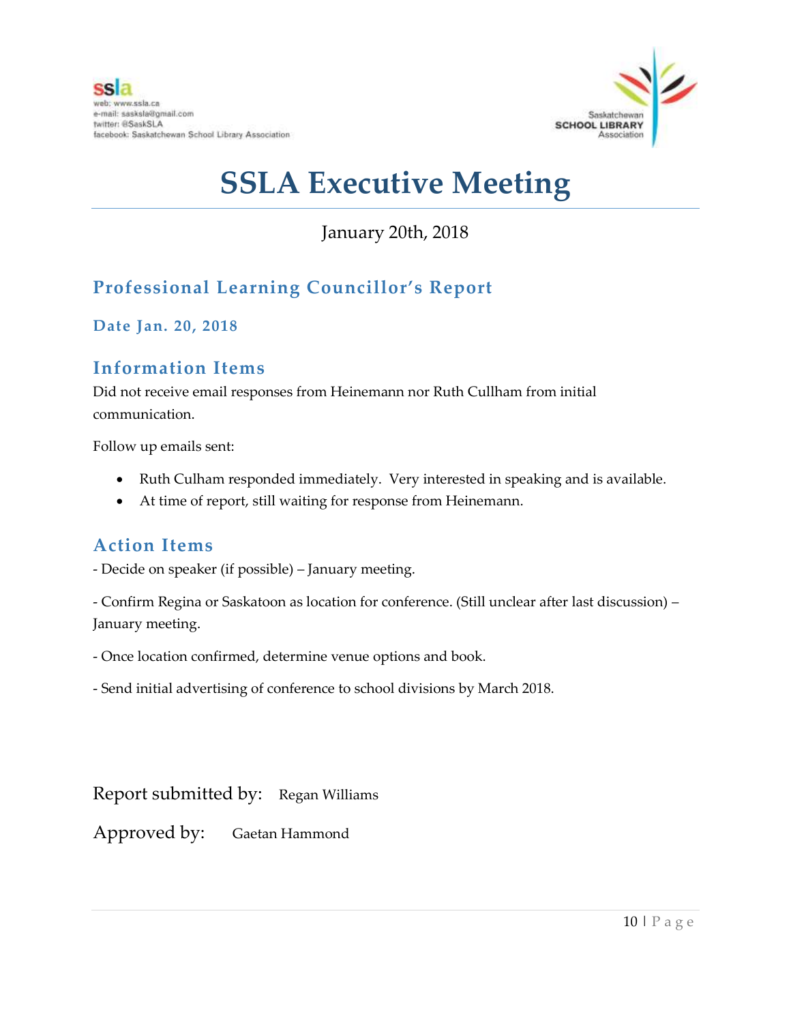

## January 20th, 2018

## **Professional Learning Councillor's Report**

**Date Jan. 20, 2018**

#### **Information Items**

Did not receive email responses from Heinemann nor Ruth Cullham from initial communication.

Follow up emails sent:

- Ruth Culham responded immediately. Very interested in speaking and is available.
- At time of report, still waiting for response from Heinemann.

### **Action Items**

- Decide on speaker (if possible) – January meeting.

- Confirm Regina or Saskatoon as location for conference. (Still unclear after last discussion) – January meeting.

- Once location confirmed, determine venue options and book.

- Send initial advertising of conference to school divisions by March 2018.

Report submitted by: Regan Williams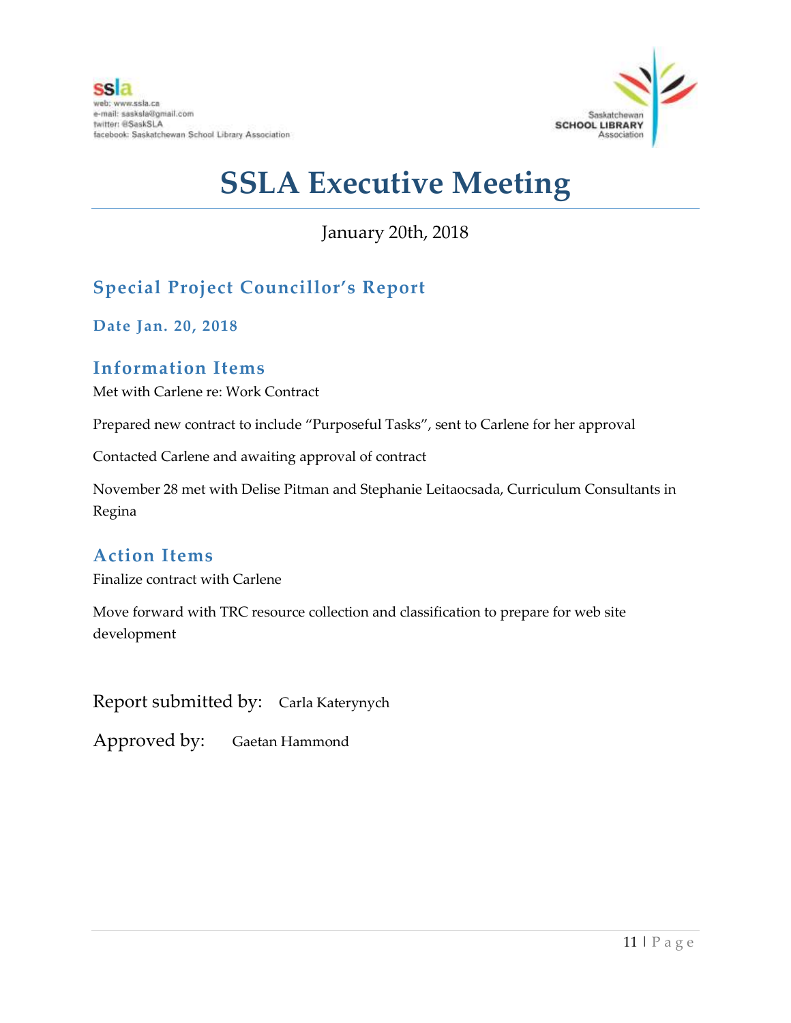

## January 20th, 2018

## **Special Project Councillor's Report**

**Date Jan. 20, 2018**

#### **Information Items**

Met with Carlene re: Work Contract

Prepared new contract to include "Purposeful Tasks", sent to Carlene for her approval

Contacted Carlene and awaiting approval of contract

November 28 met with Delise Pitman and Stephanie Leitaocsada, Curriculum Consultants in Regina

#### **Action Items**

Finalize contract with Carlene

Move forward with TRC resource collection and classification to prepare for web site development

Report submitted by: Carla Katerynych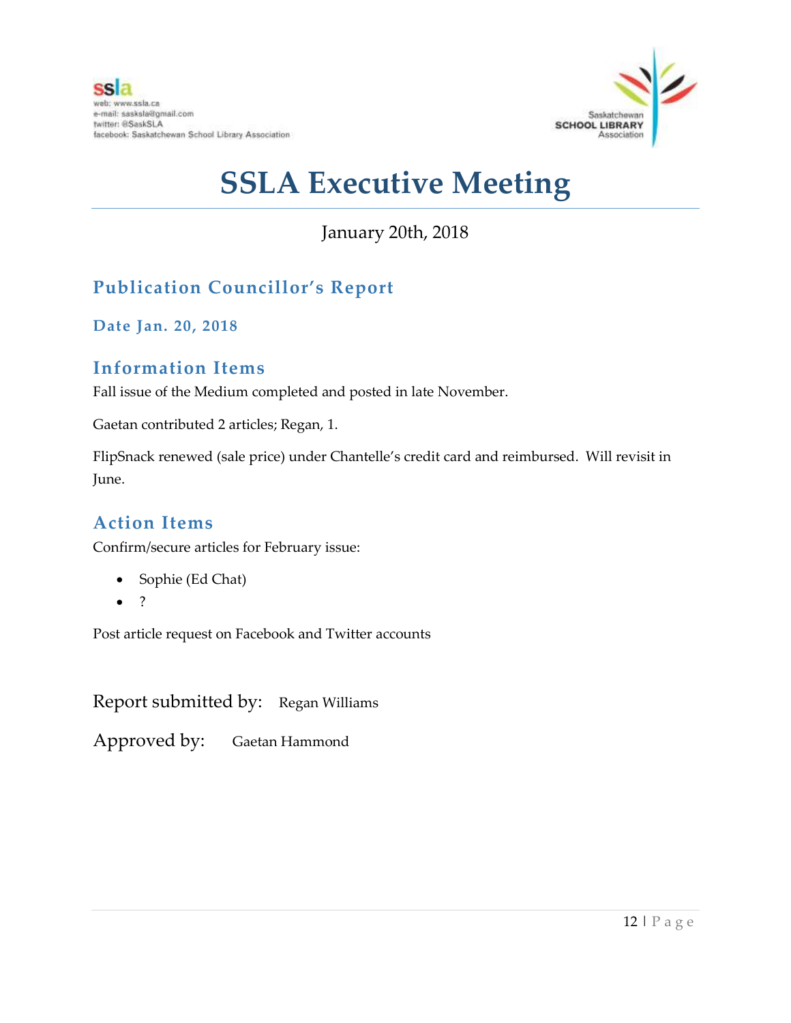

## January 20th, 2018

## **Publication Councillor's Report**

**Date Jan. 20, 2018**

#### **Information Items**

Fall issue of the Medium completed and posted in late November.

Gaetan contributed 2 articles; Regan, 1.

FlipSnack renewed (sale price) under Chantelle's credit card and reimbursed. Will revisit in June.

### **Action Items**

Confirm/secure articles for February issue:

- Sophie (Ed Chat)
- $\bullet$  ?

Post article request on Facebook and Twitter accounts

Report submitted by: Regan Williams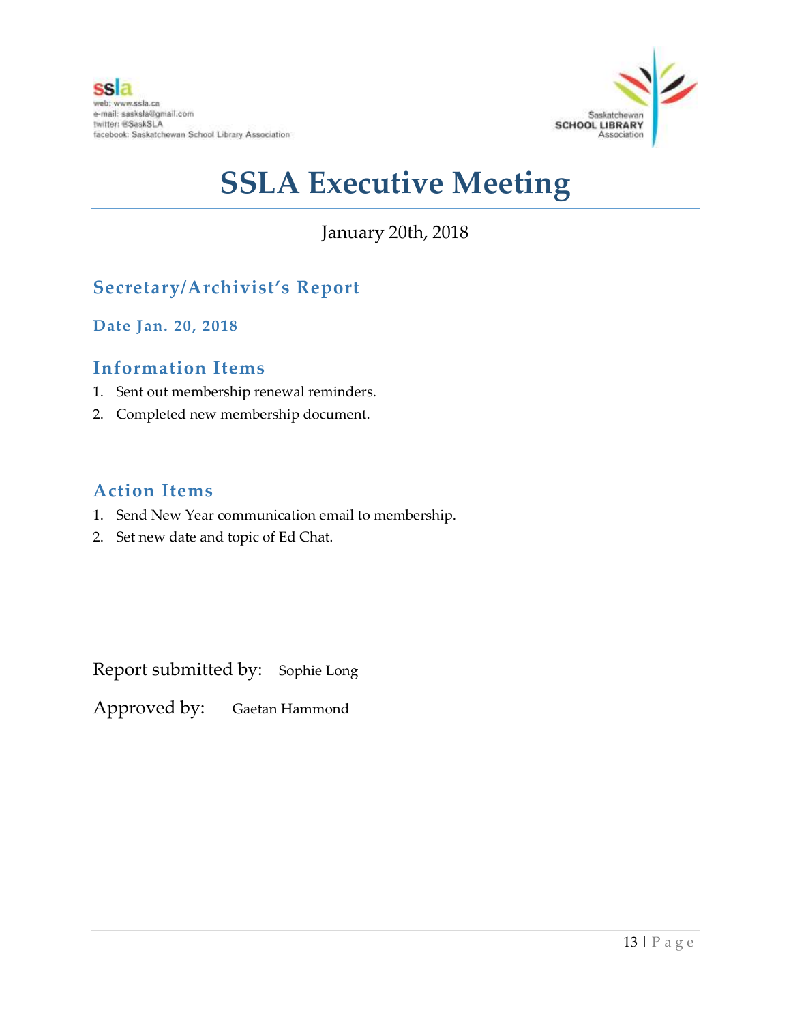

## January 20th, 2018

## **Secretary/Archivist's Report**

**Date Jan. 20, 2018**

#### **Information Items**

- 1. Sent out membership renewal reminders.
- 2. Completed new membership document.

#### **Action Items**

- 1. Send New Year communication email to membership.
- 2. Set new date and topic of Ed Chat.

Report submitted by: Sophie Long